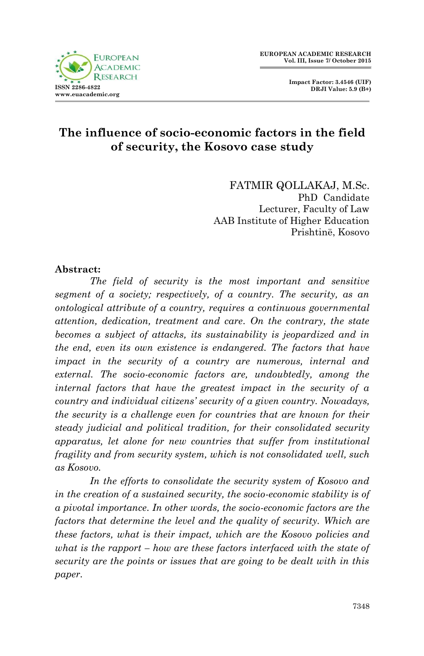

 **Impact Factor: 3.4546 (UIF) DRJI Value: 5.9 (B+)**

#### **The influence of socio-economic factors in the field of security, the Kosovo case study**

FATMIR QOLLAKAJ, M.Sc. PhD Candidate Lecturer, Faculty of Law AAB Institute of Higher Education Prishtinë, Kosovo

#### **Abstract:**

*The field of security is the most important and sensitive segment of a society; respectively, of a country. The security, as an ontological attribute of a country, requires a continuous governmental attention, dedication, treatment and care. On the contrary, the state becomes a subject of attacks, its sustainability is jeopardized and in the end, even its own existence is endangered. The factors that have impact in the security of a country are numerous, internal and external. The socio-economic factors are, undoubtedly, among the internal factors that have the greatest impact in the security of a country and individual citizens' security of a given country. Nowadays, the security is a challenge even for countries that are known for their steady judicial and political tradition, for their consolidated security apparatus, let alone for new countries that suffer from institutional fragility and from security system, which is not consolidated well, such as Kosovo.* 

*In the efforts to consolidate the security system of Kosovo and in the creation of a sustained security, the socio-economic stability is of a pivotal importance. In other words, the socio-economic factors are the factors that determine the level and the quality of security. Which are these factors, what is their impact, which are the Kosovo policies and what is the rapport – how are these factors interfaced with the state of security are the points or issues that are going to be dealt with in this paper.*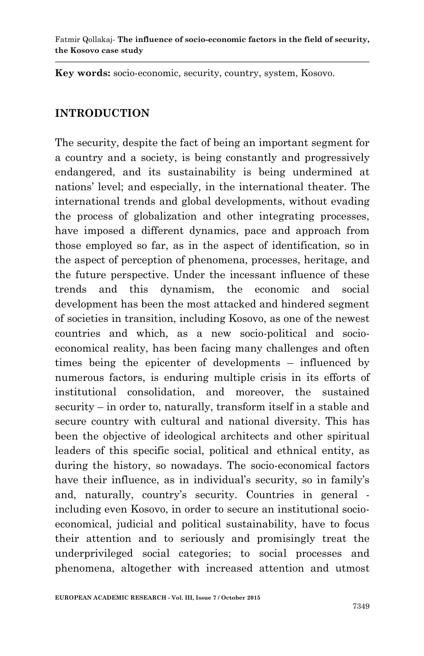**Key words:** socio-economic, security, country, system, Kosovo.

#### **INTRODUCTION**

The security, despite the fact of being an important segment for a country and a society, is being constantly and progressively endangered, and its sustainability is being undermined at nations" level; and especially, in the international theater. The international trends and global developments, without evading the process of globalization and other integrating processes, have imposed a different dynamics, pace and approach from those employed so far, as in the aspect of identification, so in the aspect of perception of phenomena, processes, heritage, and the future perspective. Under the incessant influence of these trends and this dynamism, the economic and social development has been the most attacked and hindered segment of societies in transition, including Kosovo, as one of the newest countries and which, as a new socio-political and socioeconomical reality, has been facing many challenges and often times being the epicenter of developments – influenced by numerous factors, is enduring multiple crisis in its efforts of institutional consolidation, and moreover, the sustained security – in order to, naturally, transform itself in a stable and secure country with cultural and national diversity. This has been the objective of ideological architects and other spiritual leaders of this specific social, political and ethnical entity, as during the history, so nowadays. The socio-economical factors have their influence, as in individual's security, so in family's and, naturally, country's security. Countries in general including even Kosovo, in order to secure an institutional socioeconomical, judicial and political sustainability, have to focus their attention and to seriously and promisingly treat the underprivileged social categories; to social processes and phenomena, altogether with increased attention and utmost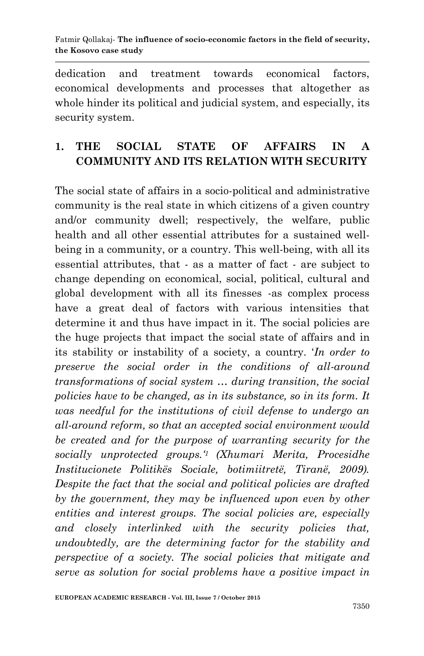dedication and treatment towards economical factors, economical developments and processes that altogether as whole hinder its political and judicial system, and especially, its security system.

## **1. THE SOCIAL STATE OF AFFAIRS IN A COMMUNITY AND ITS RELATION WITH SECURITY**

The social state of affairs in a socio-political and administrative community is the real state in which citizens of a given country and/or community dwell; respectively, the welfare, public health and all other essential attributes for a sustained wellbeing in a community, or a country. This well-being, with all its essential attributes, that - as a matter of fact - are subject to change depending on economical, social, political, cultural and global development with all its finesses -as complex process have a great deal of factors with various intensities that determine it and thus have impact in it. The social policies are the huge projects that impact the social state of affairs and in its stability or instability of a society, a country. "*In order to preserve the social order in the conditions of all-around transformations of social system … during transition, the social policies have to be changed, as in its substance, so in its form. It was needful for the institutions of civil defense to undergo an all-around reform, so that an accepted social environment would be created and for the purpose of warranting security for the socially unprotected groups.' <sup>1</sup>(Xhumari Merita, Procesidhe Institucionete Politikës Sociale, botimiitretë, Tiranë, 2009). Despite the fact that the social and political policies are drafted by the government, they may be influenced upon even by other entities and interest groups. The social policies are, especially and closely interlinked with the security policies that, undoubtedly, are the determining factor for the stability and perspective of a society. The social policies that mitigate and serve as solution for social problems have a positive impact in*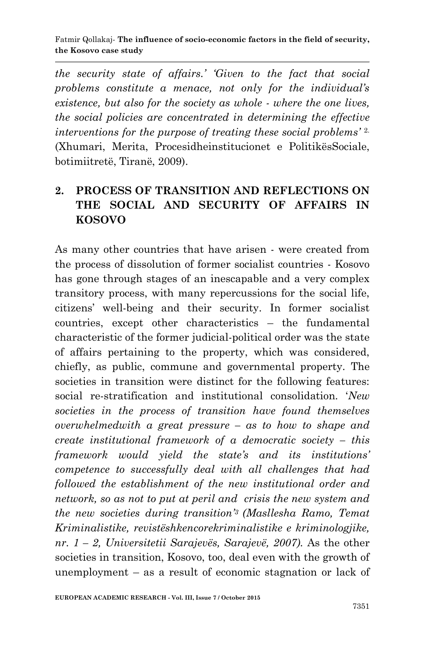*the security state of affairs.' 'Given to the fact that social problems constitute a menace, not only for the individual's existence, but also for the society as whole - where the one lives, the social policies are concentrated in determining the effective interventions for the purpose of treating these social problems'* 2. (Xhumari, Merita, Procesidheinstitucionet e PolitikësSociale, botimiitretë, Tiranë, 2009).

# **2. PROCESS OF TRANSITION AND REFLECTIONS ON THE SOCIAL AND SECURITY OF AFFAIRS IN KOSOVO**

As many other countries that have arisen - were created from the process of dissolution of former socialist countries - Kosovo has gone through stages of an inescapable and a very complex transitory process, with many repercussions for the social life, citizens" well-being and their security. In former socialist countries, except other characteristics – the fundamental characteristic of the former judicial-political order was the state of affairs pertaining to the property, which was considered, chiefly, as public, commune and governmental property. The societies in transition were distinct for the following features: social re-stratification and institutional consolidation. "*New societies in the process of transition have found themselves overwhelmedwith a great pressure – as to how to shape and create institutional framework of a democratic society – this framework would yield the state's and its institutions' competence to successfully deal with all challenges that had followed the establishment of the new institutional order and network, so as not to put at peril and crisis the new system and the new societies during transition'<sup>3</sup> (Masllesha Ramo, Temat Kriminalistike, revistëshkencorekriminalistike e kriminologjike, nr. 1 – 2, Universitetii Sarajevës, Sarajevë, 2007).* As the other societies in transition, Kosovo, too, deal even with the growth of unemployment – as a result of economic stagnation or lack of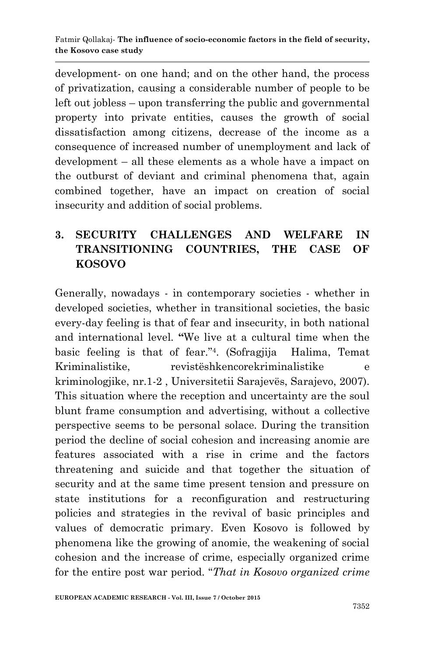development- on one hand; and on the other hand, the process of privatization, causing a considerable number of people to be left out jobless – upon transferring the public and governmental property into private entities, causes the growth of social dissatisfaction among citizens, decrease of the income as a consequence of increased number of unemployment and lack of development – all these elements as a whole have a impact on the outburst of deviant and criminal phenomena that, again combined together, have an impact on creation of social insecurity and addition of social problems.

# **3. SECURITY CHALLENGES AND WELFARE IN TRANSITIONING COUNTRIES, THE CASE OF KOSOVO**

Generally, nowadays - in contemporary societies - whether in developed societies, whether in transitional societies, the basic every-day feeling is that of fear and insecurity, in both national and international level. **"**We live at a cultural time when the basic feeling is that of fear." 4 . (Sofragjija Halima, Temat Kriminalistike, revistëshkencorekriminalistike e kriminologjike, nr.1-2 , Universitetii Sarajevës, Sarajevo, 2007). This situation where the reception and uncertainty are the soul blunt frame consumption and advertising, without a collective perspective seems to be personal solace. During the transition period the decline of social cohesion and increasing anomie are features associated with a rise in crime and the factors threatening and suicide and that together the situation of security and at the same time present tension and pressure on state institutions for a reconfiguration and restructuring policies and strategies in the revival of basic principles and values of democratic primary. Even Kosovo is followed by phenomena like the growing of anomie, the weakening of social cohesion and the increase of crime, especially organized crime for the entire post war period. "*That in Kosovo organized crime*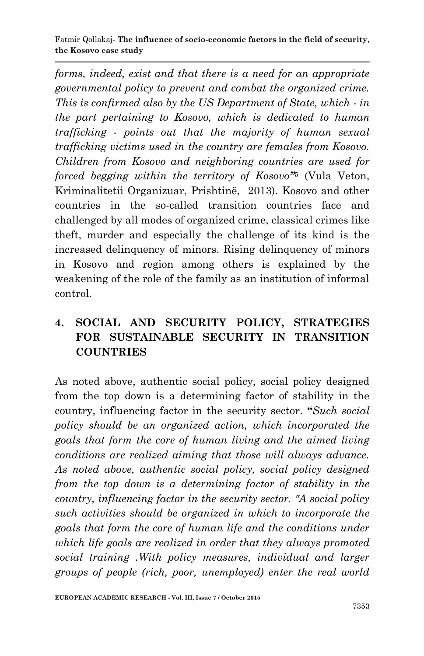*forms, indeed, exist and that there is a need for an appropriate governmental policy to prevent and combat the organized crime. This is confirmed also by the US Department of State, which - in the part pertaining to Kosovo, which is dedicated to human trafficking - points out that the majority of human sexual trafficking victims used in the country are females from Kosovo. Children from Kosovo and neighboring countries are used for forced begging within the territory of Kosovo"* 5 (Vula Veton, Kriminalitetii Organizuar, Prishtinë, 2013). Kosovo and other countries in the so-called transition countries face and challenged by all modes of organized crime, classical crimes like theft, murder and especially the challenge of its kind is the increased delinquency of minors. Rising delinquency of minors in Kosovo and region among others is explained by the weakening of the role of the family as an institution of informal control.

## **4. SOCIAL AND SECURITY POLICY, STRATEGIES FOR SUSTAINABLE SECURITY IN TRANSITION COUNTRIES**

As noted above, authentic social policy, social policy designed from the top down is a determining factor of stability in the country, influencing factor in the security sector. **"***Such social policy should be an organized action, which incorporated the goals that form the core of human living and the aimed living conditions are realized aiming that those will always advance. As noted above, authentic social policy, social policy designed from the top down is a determining factor of stability in the country, influencing factor in the security sector. "A social policy such activities should be organized in which to incorporate the goals that form the core of human life and the conditions under which life goals are realized in order that they always promoted social training .With policy measures, individual and larger groups of people (rich, poor, unemployed) enter the real world*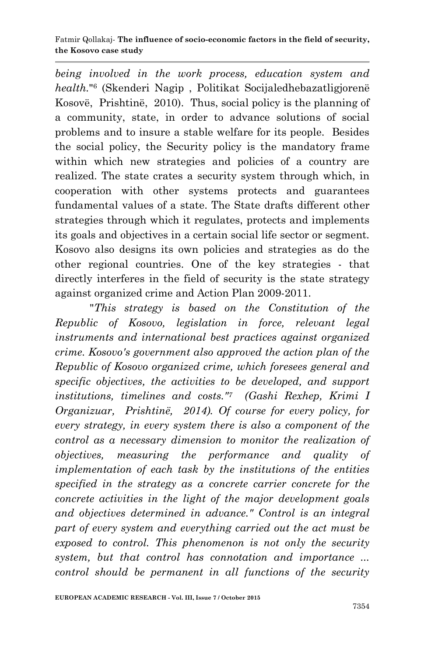#### Fatmir Qollakaj*-* **The influence of socio-economic factors in the field of security, the Kosovo case study**

*being involved in the work process, education system and health.*" 6 (Skenderi Nagip , Politikat Socijaledhebazatligjorenë Kosovë, Prishtinë, 2010). Thus, social policy is the planning of a community, state, in order to advance solutions of social problems and to insure a stable welfare for its people. Besides the social policy, the Security policy is the mandatory frame within which new strategies and policies of a country are realized. The state crates a security system through which, in cooperation with other systems protects and guarantees fundamental values of a state. The State drafts different other strategies through which it regulates, protects and implements its goals and objectives in a certain social life sector or segment. Kosovo also designs its own policies and strategies as do the other regional countries. One of the key strategies - that directly interferes in the field of security is the state strategy against organized crime and Action Plan 2009-2011.

"*This strategy is based on the Constitution of the Republic of Kosovo, legislation in force, relevant legal instruments and international best practices against organized crime. Kosovo's government also approved the action plan of the Republic of Kosovo organized crime, which foresees general and specific objectives, the activities to be developed, and support institutions, timelines and costs."7 (Gashi Rexhep, Krimi I Organizuar, Prishtinë, 2014). Of course for every policy, for every strategy, in every system there is also a component of the control as a necessary dimension to monitor the realization of objectives, measuring the performance and quality of implementation of each task by the institutions of the entities specified in the strategy as a concrete carrier concrete for the concrete activities in the light of the major development goals and objectives determined in advance." Control is an integral part of every system and everything carried out the act must be exposed to control. This phenomenon is not only the security system, but that control has connotation and importance ... control should be permanent in all functions of the security*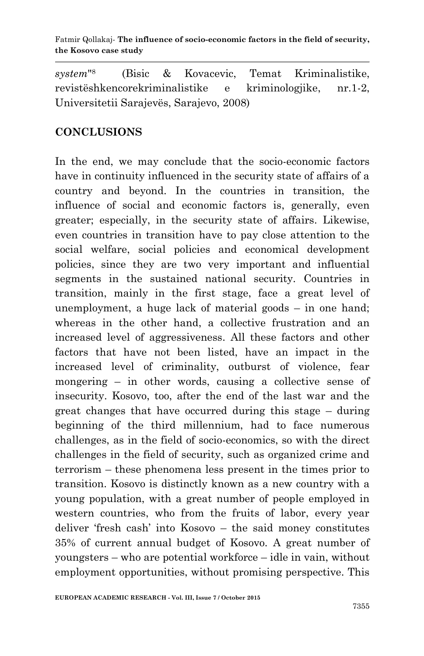*system*" 8 (Bisic & Kovacevic, Temat Kriminalistike, revistëshkencorekriminalistike e kriminologjike, nr.1-2, Universitetii Sarajevës, Sarajevo, 2008)

#### **CONCLUSIONS**

In the end, we may conclude that the socio-economic factors have in continuity influenced in the security state of affairs of a country and beyond. In the countries in transition, the influence of social and economic factors is, generally, even greater; especially, in the security state of affairs. Likewise, even countries in transition have to pay close attention to the social welfare, social policies and economical development policies, since they are two very important and influential segments in the sustained national security. Countries in transition, mainly in the first stage, face a great level of unemployment, a huge lack of material goods – in one hand; whereas in the other hand, a collective frustration and an increased level of aggressiveness. All these factors and other factors that have not been listed, have an impact in the increased level of criminality, outburst of violence, fear mongering – in other words, causing a collective sense of insecurity. Kosovo, too, after the end of the last war and the great changes that have occurred during this stage – during beginning of the third millennium, had to face numerous challenges, as in the field of socio-economics, so with the direct challenges in the field of security, such as organized crime and terrorism – these phenomena less present in the times prior to transition. Kosovo is distinctly known as a new country with a young population, with a great number of people employed in western countries, who from the fruits of labor, every year deliver "fresh cash" into Kosovo – the said money constitutes 35% of current annual budget of Kosovo. A great number of youngsters – who are potential workforce – idle in vain, without employment opportunities, without promising perspective. This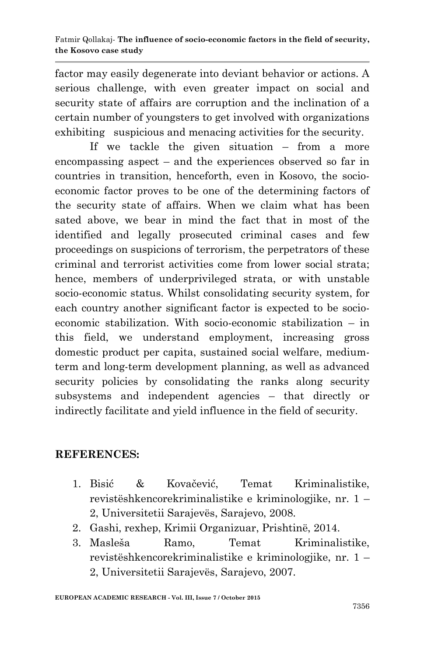factor may easily degenerate into deviant behavior or actions. A serious challenge, with even greater impact on social and security state of affairs are corruption and the inclination of a certain number of youngsters to get involved with organizations exhibiting suspicious and menacing activities for the security.

If we tackle the given situation – from a more encompassing aspect – and the experiences observed so far in countries in transition, henceforth, even in Kosovo, the socioeconomic factor proves to be one of the determining factors of the security state of affairs. When we claim what has been sated above, we bear in mind the fact that in most of the identified and legally prosecuted criminal cases and few proceedings on suspicions of terrorism, the perpetrators of these criminal and terrorist activities come from lower social strata; hence, members of underprivileged strata, or with unstable socio-economic status. Whilst consolidating security system, for each country another significant factor is expected to be socioeconomic stabilization. With socio-economic stabilization – in this field, we understand employment, increasing gross domestic product per capita, sustained social welfare, mediumterm and long-term development planning, as well as advanced security policies by consolidating the ranks along security subsystems and independent agencies – that directly or indirectly facilitate and yield influence in the field of security.

#### **REFERENCES:**

- 1. Bisić & Kovačević, Temat Kriminalistike, revistëshkencorekriminalistike e kriminologjike, nr. 1 – 2, Universitetii Sarajevës, Sarajevo, 2008.
- 2. Gashi, rexhep, Krimii Organizuar, Prishtinë, 2014.
- 3. Masleša Ramo, Temat Kriminalistike, revistëshkencorekriminalistike e kriminologjike, nr. 1 – 2, Universitetii Sarajevës, Sarajevo, 2007.